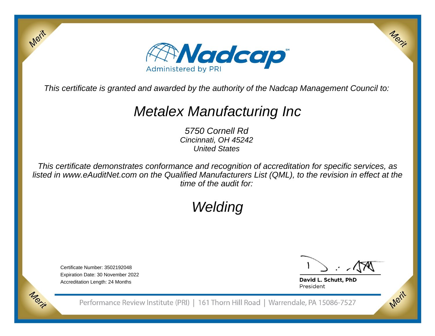

This certificate is granted and awarded by the authority of the Nadcap Management Council to:

## Metalex Manufacturing Inc

5750 Cornell Rd Cincinnati, OH 45242United States

This certificate demonstrates conformance and recognition of accreditation for specific services, as listed in www.eAuditNet.com on the Qualified Manufacturers List (QML), to the revision in effect at thetime of the audit for:

# Welding

Certificate Number: 3502192048 Expiration Date: 30 November 2022Accreditation Length: 24 Months

Merit

Merit

Merit

Merit

David L. Schutt, PhD President

Performance Review Institute (PRI) | 161 Thorn Hill Road | Warrendale, PA 15086-7527